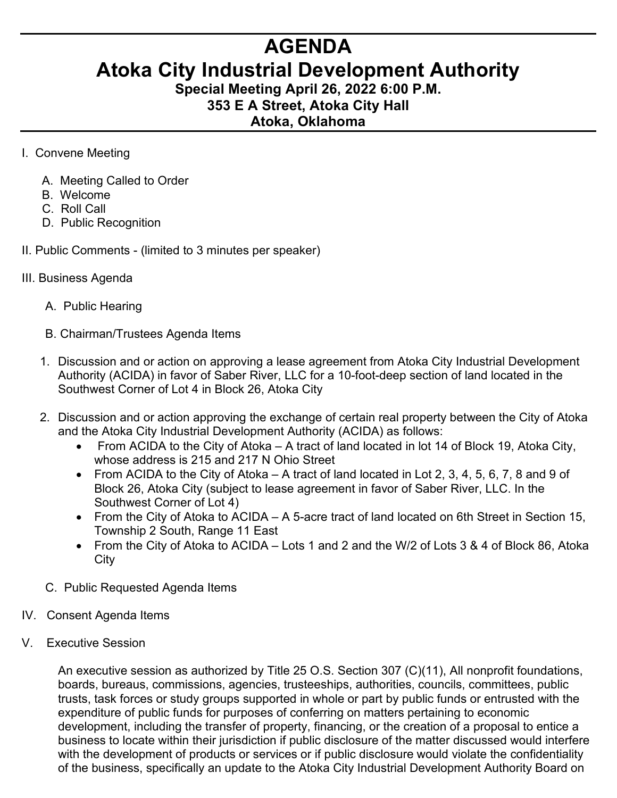## **AGENDA**

## **Atoka City Industrial Development Authority**

**Special Meeting April 26, 2022 6:00 P.M. 353 E A Street, Atoka City Hall**

## **Atoka, Oklahoma**

- I. Convene Meeting
	- A. Meeting Called to Order
	- B. Welcome
	- C. Roll Call
	- D. Public Recognition
- II. Public Comments (limited to 3 minutes per speaker)
- III. Business Agenda
	- A. Public Hearing
	- B. Chairman/Trustees Agenda Items
	- 1. Discussion and or action on approving a lease agreement from Atoka City Industrial Development Authority (ACIDA) in favor of Saber River, LLC for a 10-foot-deep section of land located in the Southwest Corner of Lot 4 in Block 26, Atoka City
	- 2. Discussion and or action approving the exchange of certain real property between the City of Atoka and the Atoka City Industrial Development Authority (ACIDA) as follows:
		- From ACIDA to the City of Atoka A tract of land located in lot 14 of Block 19, Atoka City, whose address is 215 and 217 N Ohio Street
		- From ACIDA to the City of Atoka A tract of land located in Lot 2, 3, 4, 5, 6, 7, 8 and 9 of Block 26, Atoka City (subject to lease agreement in favor of Saber River, LLC. In the Southwest Corner of Lot 4)
		- From the City of Atoka to ACIDA A 5-acre tract of land located on 6th Street in Section 15, Township 2 South, Range 11 East
		- From the City of Atoka to ACIDA Lots 1 and 2 and the W/2 of Lots 3 & 4 of Block 86, Atoka **City**
	- C. Public Requested Agenda Items
- IV. Consent Agenda Items
- V. Executive Session

An executive session as authorized by Title 25 O.S. Section 307 (C)(11), All nonprofit foundations, boards, bureaus, commissions, agencies, trusteeships, authorities, councils, committees, public trusts, task forces or study groups supported in whole or part by public funds or entrusted with the expenditure of public funds for purposes of conferring on matters pertaining to economic development, including the transfer of property, financing, or the creation of a proposal to entice a business to locate within their jurisdiction if public disclosure of the matter discussed would interfere with the development of products or services or if public disclosure would violate the confidentiality of the business, specifically an update to the Atoka City Industrial Development Authority Board on